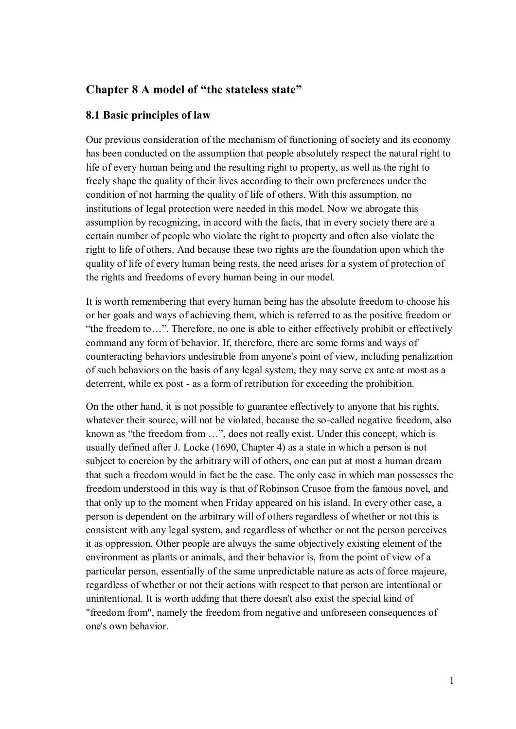## **Chapter 8 A model of "the stateless state"**

#### **8.1 Basic principles of law**

Our previous consideration of the mechanism of functioning of society and its economy has been conducted on the assumption that people absolutely respect the natural right to life of every human being and the resulting right to property, as well as the right to freely shape the quality of their lives according to their own preferences under the condition of not harming the quality of life of others. With this assumption, no institutions of legal protection were needed in this model. Now we abrogate this assumption by recognizing, in accord with the facts, that in every society there are a certain number of people who violate the right to property and often also violate the right to life of others. And because these two rights are the foundation upon which the quality of life of every human being rests, the need arises for a system of protection of the rights and freedoms of every human being in our model.

It is worth remembering that every human being has the absolute freedom to choose his or her goals and ways of achieving them, which is referred to as the positive freedom or "the freedom to…". Therefore, no one is able to either effectively prohibit or effectively command any form of behavior. If, therefore, there are some forms and ways of counteracting behaviors undesirable from anyone's point of view, including penalization of such behaviors on the basis of any legal system, they may serve ex ante at most as a deterrent, while ex post - as a form of retribution for exceeding the prohibition.

On the other hand, it is not possible to guarantee effectively to anyone that his rights, whatever their source, will not be violated, because the so-called negative freedom, also known as "the freedom from …", does not really exist. Under this concept, which is usually defined after J. Locke (1690, Chapter 4) as a state in which a person is not subject to coercion by the arbitrary will of others, one can put at most a human dream that such a freedom would in fact be the case. The only case in which man possesses the freedom understood in this way is that of Robinson Crusoe from the famous novel, and that only up to the moment when Friday appeared on his island. In every other case, a person is dependent on the arbitrary will of others regardless of whether or not this is consistent with any legal system, and regardless of whether or not the person perceives it as oppression. Other people are always the same objectively existing element of the environment as plants or animals, and their behavior is, from the point of view of a particular person, essentially of the same unpredictable nature as acts of force majeure, regardless of whether or not their actions with respect to that person are intentional or unintentional. It is worth adding that there doesn't also exist the special kind of "freedom from", namely the freedom from negative and unforeseen consequences of one's own behavior.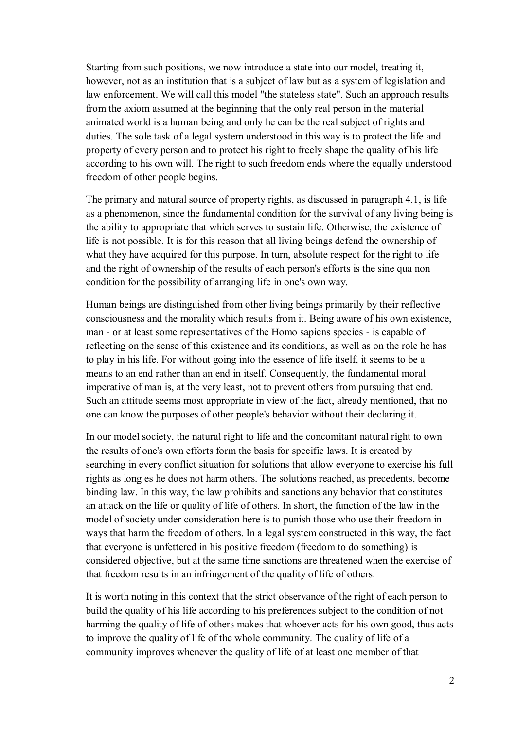Starting from such positions, we now introduce a state into our model, treating it, however, not as an institution that is a subject of law but as a system of legislation and law enforcement. We will call this model "the stateless state". Such an approach results from the axiom assumed at the beginning that the only real person in the material animated world is a human being and only he can be the real subject of rights and duties. The sole task of a legal system understood in this way is to protect the life and property of every person and to protect his right to freely shape the quality of his life according to his own will. The right to such freedom ends where the equally understood freedom of other people begins.

The primary and natural source of property rights, as discussed in paragraph 4.1, is life as a phenomenon, since the fundamental condition for the survival of any living being is the ability to appropriate that which serves to sustain life. Otherwise, the existence of life is not possible. It is for this reason that all living beings defend the ownership of what they have acquired for this purpose. In turn, absolute respect for the right to life and the right of ownership of the results of each person's efforts is the sine qua non condition for the possibility of arranging life in one's own way.

Human beings are distinguished from other living beings primarily by their reflective consciousness and the morality which results from it. Being aware of his own existence, man - or at least some representatives of the Homo sapiens species - is capable of reflecting on the sense of this existence and its conditions, as well as on the role he has to play in his life. For without going into the essence of life itself, it seems to be a means to an end rather than an end in itself. Consequently, the fundamental moral imperative of man is, at the very least, not to prevent others from pursuing that end. Such an attitude seems most appropriate in view of the fact, already mentioned, that no one can know the purposes of other people's behavior without their declaring it.

In our model society, the natural right to life and the concomitant natural right to own the results of one's own efforts form the basis for specific laws. It is created by searching in every conflict situation for solutions that allow everyone to exercise his full rights as long es he does not harm others. The solutions reached, as precedents, become binding law. In this way, the law prohibits and sanctions any behavior that constitutes an attack on the life or quality of life of others. In short, the function of the law in the model of society under consideration here is to punish those who use their freedom in ways that harm the freedom of others. In a legal system constructed in this way, the fact that everyone is unfettered in his positive freedom (freedom to do something) is considered objective, but at the same time sanctions are threatened when the exercise of that freedom results in an infringement of the quality of life of others.

It is worth noting in this context that the strict observance of the right of each person to build the quality of his life according to his preferences subject to the condition of not harming the quality of life of others makes that whoever acts for his own good, thus acts to improve the quality of life of the whole community. The quality of life of a community improves whenever the quality of life of at least one member of that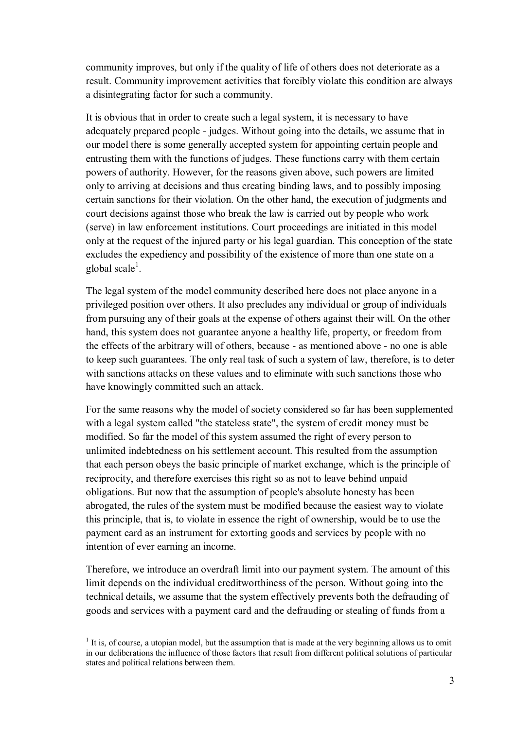community improves, but only if the quality of life of others does not deteriorate as a result. Community improvement activities that forcibly violate this condition are always a disintegrating factor for such a community.

It is obvious that in order to create such a legal system, it is necessary to have adequately prepared people - judges. Without going into the details, we assume that in our model there is some generally accepted system for appointing certain people and entrusting them with the functions of judges. These functions carry with them certain powers of authority. However, for the reasons given above, such powers are limited only to arriving at decisions and thus creating binding laws, and to possibly imposing certain sanctions for their violation. On the other hand, the execution of judgments and court decisions against those who break the law is carried out by people who work (serve) in law enforcement institutions. Court proceedings are initiated in this model only at the request of the injured party or his legal guardian. This conception of the state excludes the expediency and possibility of the existence of more than one state on a global scale $^1$ .

The legal system of the model community described here does not place anyone in a privileged position over others. It also precludes any individual or group of individuals from pursuing any of their goals at the expense of others against their will. On the other hand, this system does not guarantee anyone a healthy life, property, or freedom from the effects of the arbitrary will of others, because - as mentioned above - no one is able to keep such guarantees. The only real task of such a system of law, therefore, is to deter with sanctions attacks on these values and to eliminate with such sanctions those who have knowingly committed such an attack.

For the same reasons why the model of society considered so far has been supplemented with a legal system called "the stateless state", the system of credit money must be modified. So far the model of this system assumed the right of every person to unlimited indebtedness on his settlement account. This resulted from the assumption that each person obeys the basic principle of market exchange, which is the principle of reciprocity, and therefore exercises this right so as not to leave behind unpaid obligations. But now that the assumption of people's absolute honesty has been abrogated, the rules of the system must be modified because the easiest way to violate this principle, that is, to violate in essence the right of ownership, would be to use the payment card as an instrument for extorting goods and services by people with no intention of ever earning an income.

Therefore, we introduce an overdraft limit into our payment system. The amount of this limit depends on the individual creditworthiness of the person. Without going into the technical details, we assume that the system effectively prevents both the defrauding of goods and services with a payment card and the defrauding or stealing of funds from a

 $<sup>1</sup>$  It is, of course, a utopian model, but the assumption that is made at the very beginning allows us to omit</sup> in our deliberations the influence of those factors that result from different political solutions of particular states and political relations between them.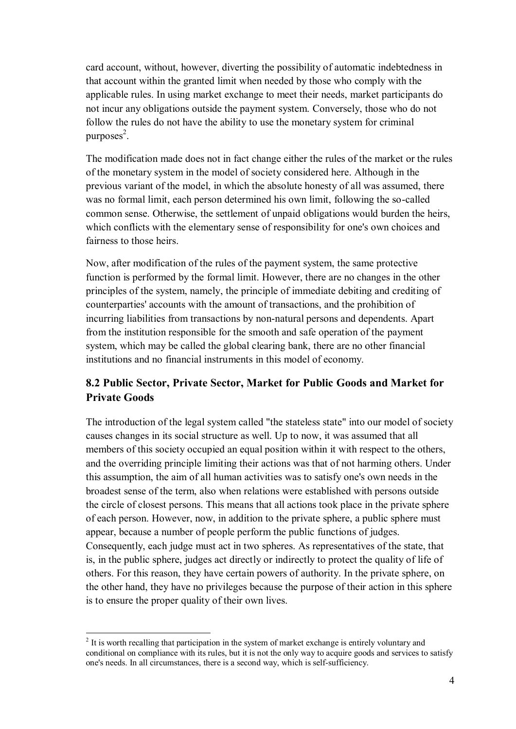card account, without, however, diverting the possibility of automatic indebtedness in that account within the granted limit when needed by those who comply with the applicable rules. In using market exchange to meet their needs, market participants do not incur any obligations outside the payment system. Conversely, those who do not follow the rules do not have the ability to use the monetary system for criminal purposes<sup>2</sup>.

The modification made does not in fact change either the rules of the market or the rules of the monetary system in the model of society considered here. Although in the previous variant of the model, in which the absolute honesty of all was assumed, there was no formal limit, each person determined his own limit, following the so-called common sense. Otherwise, the settlement of unpaid obligations would burden the heirs, which conflicts with the elementary sense of responsibility for one's own choices and fairness to those heirs.

Now, after modification of the rules of the payment system, the same protective function is performed by the formal limit. However, there are no changes in the other principles of the system, namely, the principle of immediate debiting and crediting of counterparties' accounts with the amount of transactions, and the prohibition of incurring liabilities from transactions by non-natural persons and dependents. Apart from the institution responsible for the smooth and safe operation of the payment system, which may be called the global clearing bank, there are no other financial institutions and no financial instruments in this model of economy.

# **8.2 Public Sector, Private Sector, Market for Public Goods and Market for Private Goods**

The introduction of the legal system called "the stateless state" into our model of society causes changes in its social structure as well. Up to now, it was assumed that all members of this society occupied an equal position within it with respect to the others, and the overriding principle limiting their actions was that of not harming others. Under this assumption, the aim of all human activities was to satisfy one's own needs in the broadest sense of the term, also when relations were established with persons outside the circle of closest persons. This means that all actions took place in the private sphere of each person. However, now, in addition to the private sphere, a public sphere must appear, because a number of people perform the public functions of judges. Consequently, each judge must act in two spheres. As representatives of the state, that is, in the public sphere, judges act directly or indirectly to protect the quality of life of others. For this reason, they have certain powers of authority. In the private sphere, on the other hand, they have no privileges because the purpose of their action in this sphere is to ensure the proper quality of their own lives.

 $2<sup>2</sup>$  It is worth recalling that participation in the system of market exchange is entirely voluntary and conditional on compliance with its rules, but it is not the only way to acquire goods and services to satisfy one's needs. In all circumstances, there is a second way, which is self-sufficiency.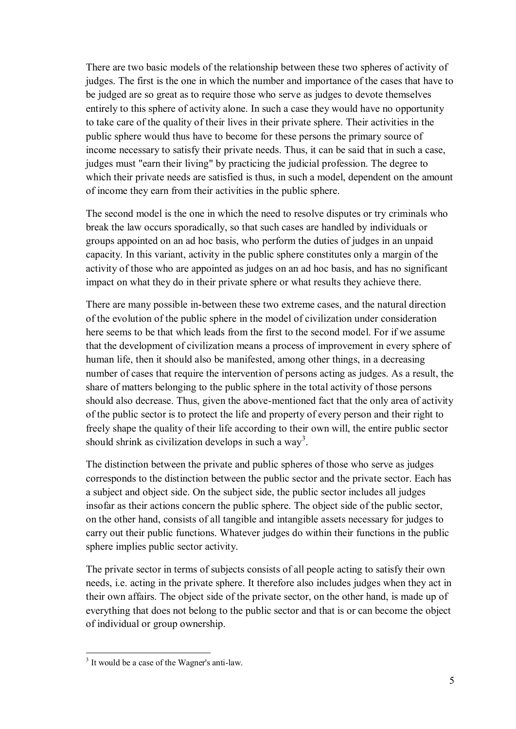There are two basic models of the relationship between these two spheres of activity of judges. The first is the one in which the number and importance of the cases that have to be judged are so great as to require those who serve as judges to devote themselves entirely to this sphere of activity alone. In such a case they would have no opportunity to take care of the quality of their lives in their private sphere. Their activities in the public sphere would thus have to become for these persons the primary source of income necessary to satisfy their private needs. Thus, it can be said that in such a case, judges must "earn their living" by practicing the judicial profession. The degree to which their private needs are satisfied is thus, in such a model, dependent on the amount of income they earn from their activities in the public sphere.

The second model is the one in which the need to resolve disputes or try criminals who break the law occurs sporadically, so that such cases are handled by individuals or groups appointed on an ad hoc basis, who perform the duties of judges in an unpaid capacity. In this variant, activity in the public sphere constitutes only a margin of the activity of those who are appointed as judges on an ad hoc basis, and has no significant impact on what they do in their private sphere or what results they achieve there.

There are many possible in-between these two extreme cases, and the natural direction of the evolution of the public sphere in the model of civilization under consideration here seems to be that which leads from the first to the second model. For if we assume that the development of civilization means a process of improvement in every sphere of human life, then it should also be manifested, among other things, in a decreasing number of cases that require the intervention of persons acting as judges. As a result, the share of matters belonging to the public sphere in the total activity of those persons should also decrease. Thus, given the above-mentioned fact that the only area of activity of the public sector is to protect the life and property of every person and their right to freely shape the quality of their life according to their own will, the entire public sector should shrink as civilization develops in such a way<sup>3</sup>.

The distinction between the private and public spheres of those who serve as judges corresponds to the distinction between the public sector and the private sector. Each has a subject and object side. On the subject side, the public sector includes all judges insofar as their actions concern the public sphere. The object side of the public sector, on the other hand, consists of all tangible and intangible assets necessary for judges to carry out their public functions. Whatever judges do within their functions in the public sphere implies public sector activity.

The private sector in terms of subjects consists of all people acting to satisfy their own needs, i.e. acting in the private sphere. It therefore also includes judges when they act in their own affairs. The object side of the private sector, on the other hand, is made up of everything that does not belong to the public sector and that is or can become the object of individual or group ownership.

<sup>&</sup>lt;sup>3</sup> It would be a case of the Wagner's anti-law.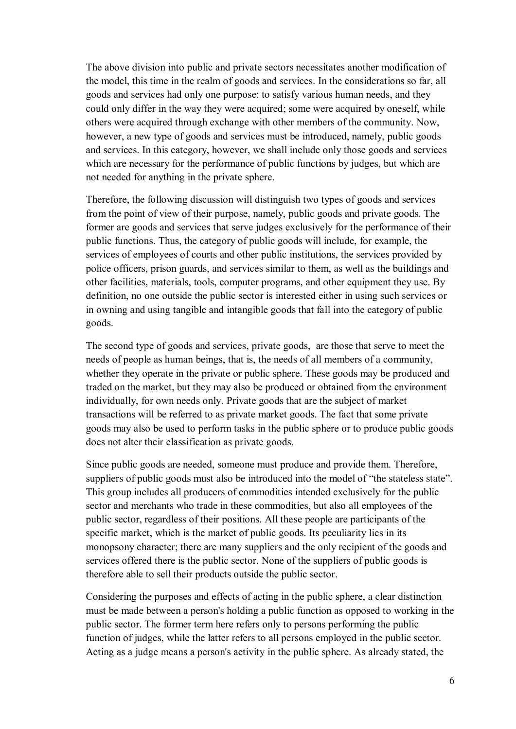The above division into public and private sectors necessitates another modification of the model, this time in the realm of goods and services. In the considerations so far, all goods and services had only one purpose: to satisfy various human needs, and they could only differ in the way they were acquired; some were acquired by oneself, while others were acquired through exchange with other members of the community. Now, however, a new type of goods and services must be introduced, namely, public goods and services. In this category, however, we shall include only those goods and services which are necessary for the performance of public functions by judges, but which are not needed for anything in the private sphere.

Therefore, the following discussion will distinguish two types of goods and services from the point of view of their purpose, namely, public goods and private goods. The former are goods and services that serve judges exclusively for the performance of their public functions. Thus, the category of public goods will include, for example, the services of employees of courts and other public institutions, the services provided by police officers, prison guards, and services similar to them, as well as the buildings and other facilities, materials, tools, computer programs, and other equipment they use. By definition, no one outside the public sector is interested either in using such services or in owning and using tangible and intangible goods that fall into the category of public goods.

The second type of goods and services, private goods, are those that serve to meet the needs of people as human beings, that is, the needs of all members of a community, whether they operate in the private or public sphere. These goods may be produced and traded on the market, but they may also be produced or obtained from the environment individually, for own needs only. Private goods that are the subject of market transactions will be referred to as private market goods. The fact that some private goods may also be used to perform tasks in the public sphere or to produce public goods does not alter their classification as private goods.

Since public goods are needed, someone must produce and provide them. Therefore, suppliers of public goods must also be introduced into the model of "the stateless state". This group includes all producers of commodities intended exclusively for the public sector and merchants who trade in these commodities, but also all employees of the public sector, regardless of their positions. All these people are participants of the specific market, which is the market of public goods. Its peculiarity lies in its monopsony character; there are many suppliers and the only recipient of the goods and services offered there is the public sector. None of the suppliers of public goods is therefore able to sell their products outside the public sector.

Considering the purposes and effects of acting in the public sphere, a clear distinction must be made between a person's holding a public function as opposed to working in the public sector. The former term here refers only to persons performing the public function of judges, while the latter refers to all persons employed in the public sector. Acting as a judge means a person's activity in the public sphere. As already stated, the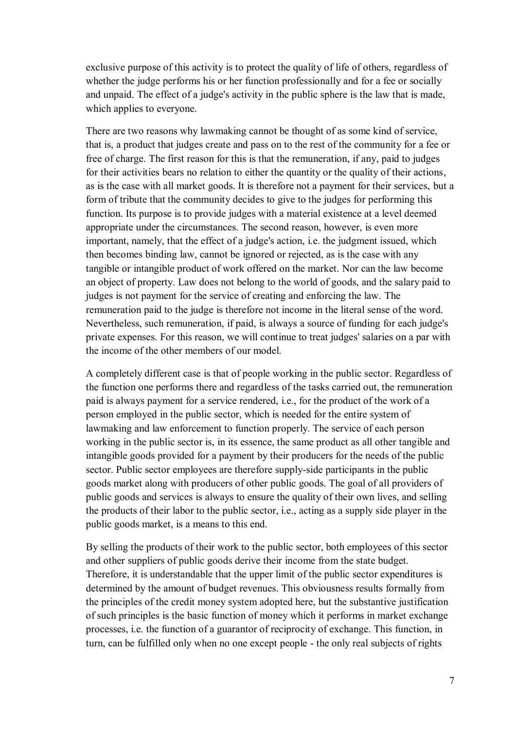exclusive purpose of this activity is to protect the quality of life of others, regardless of whether the judge performs his or her function professionally and for a fee or socially and unpaid. The effect of a judge's activity in the public sphere is the law that is made, which applies to everyone.

There are two reasons why lawmaking cannot be thought of as some kind of service, that is, a product that judges create and pass on to the rest of the community for a fee or free of charge. The first reason for this is that the remuneration, if any, paid to judges for their activities bears no relation to either the quantity or the quality of their actions, as is the case with all market goods. It is therefore not a payment for their services, but a form of tribute that the community decides to give to the judges for performing this function. Its purpose is to provide judges with a material existence at a level deemed appropriate under the circumstances. The second reason, however, is even more important, namely, that the effect of a judge's action, i.e. the judgment issued, which then becomes binding law, cannot be ignored or rejected, as is the case with any tangible or intangible product of work offered on the market. Nor can the law become an object of property. Law does not belong to the world of goods, and the salary paid to judges is not payment for the service of creating and enforcing the law. The remuneration paid to the judge is therefore not income in the literal sense of the word. Nevertheless, such remuneration, if paid, is always a source of funding for each judge's private expenses. For this reason, we will continue to treat judges' salaries on a par with the income of the other members of our model.

A completely different case is that of people working in the public sector. Regardless of the function one performs there and regardless of the tasks carried out, the remuneration paid is always payment for a service rendered, i.e., for the product of the work of a person employed in the public sector, which is needed for the entire system of lawmaking and law enforcement to function properly. The service of each person working in the public sector is, in its essence, the same product as all other tangible and intangible goods provided for a payment by their producers for the needs of the public sector. Public sector employees are therefore supply-side participants in the public goods market along with producers of other public goods. The goal of all providers of public goods and services is always to ensure the quality of their own lives, and selling the products of their labor to the public sector, i.e., acting as a supply side player in the public goods market, is a means to this end.

By selling the products of their work to the public sector, both employees of this sector and other suppliers of public goods derive their income from the state budget. Therefore, it is understandable that the upper limit of the public sector expenditures is determined by the amount of budget revenues. This obviousness results formally from the principles of the credit money system adopted here, but the substantive justification of such principles is the basic function of money which it performs in market exchange processes, i.e. the function of a guarantor of reciprocity of exchange. This function, in turn, can be fulfilled only when no one except people - the only real subjects of rights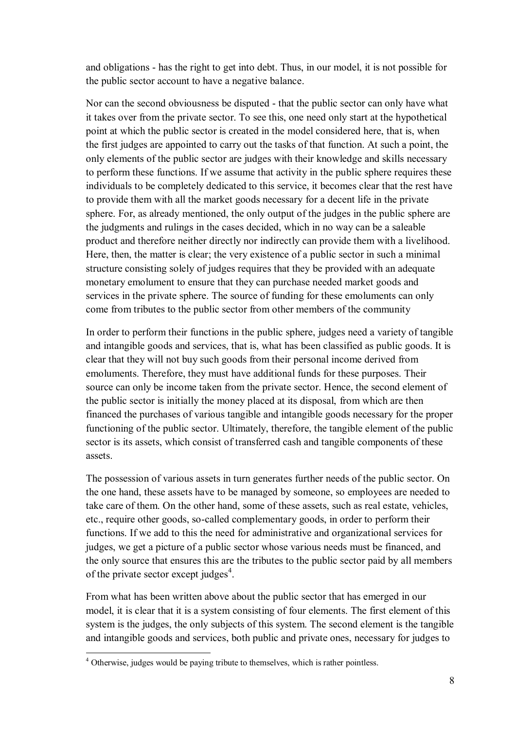and obligations - has the right to get into debt. Thus, in our model, it is not possible for the public sector account to have a negative balance.

Nor can the second obviousness be disputed - that the public sector can only have what it takes over from the private sector. To see this, one need only start at the hypothetical point at which the public sector is created in the model considered here, that is, when the first judges are appointed to carry out the tasks of that function. At such a point, the only elements of the public sector are judges with their knowledge and skills necessary to perform these functions. If we assume that activity in the public sphere requires these individuals to be completely dedicated to this service, it becomes clear that the rest have to provide them with all the market goods necessary for a decent life in the private sphere. For, as already mentioned, the only output of the judges in the public sphere are the judgments and rulings in the cases decided, which in no way can be a saleable product and therefore neither directly nor indirectly can provide them with a livelihood. Here, then, the matter is clear; the very existence of a public sector in such a minimal structure consisting solely of judges requires that they be provided with an adequate monetary emolument to ensure that they can purchase needed market goods and services in the private sphere. The source of funding for these emoluments can only come from tributes to the public sector from other members of the community

In order to perform their functions in the public sphere, judges need a variety of tangible and intangible goods and services, that is, what has been classified as public goods. It is clear that they will not buy such goods from their personal income derived from emoluments. Therefore, they must have additional funds for these purposes. Their source can only be income taken from the private sector. Hence, the second element of the public sector is initially the money placed at its disposal, from which are then financed the purchases of various tangible and intangible goods necessary for the proper functioning of the public sector. Ultimately, therefore, the tangible element of the public sector is its assets, which consist of transferred cash and tangible components of these assets.

The possession of various assets in turn generates further needs of the public sector. On the one hand, these assets have to be managed by someone, so employees are needed to take care of them. On the other hand, some of these assets, such as real estate, vehicles, etc., require other goods, so-called complementary goods, in order to perform their functions. If we add to this the need for administrative and organizational services for judges, we get a picture of a public sector whose various needs must be financed, and the only source that ensures this are the tributes to the public sector paid by all members of the private sector except judges<sup>4</sup>.

From what has been written above about the public sector that has emerged in our model, it is clear that it is a system consisting of four elements. The first element of this system is the judges, the only subjects of this system. The second element is the tangible and intangible goods and services, both public and private ones, necessary for judges to

<sup>&</sup>lt;sup>4</sup> Otherwise, judges would be paying tribute to themselves, which is rather pointless.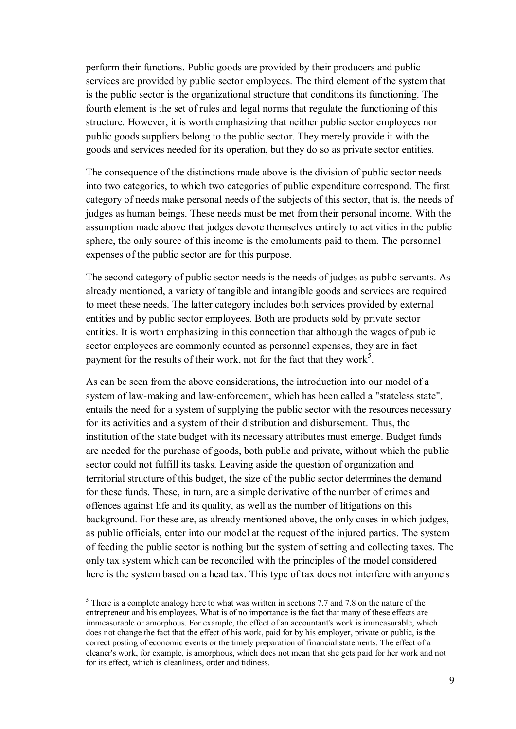perform their functions. Public goods are provided by their producers and public services are provided by public sector employees. The third element of the system that is the public sector is the organizational structure that conditions its functioning. The fourth element is the set of rules and legal norms that regulate the functioning of this structure. However, it is worth emphasizing that neither public sector employees nor public goods suppliers belong to the public sector. They merely provide it with the goods and services needed for its operation, but they do so as private sector entities.

The consequence of the distinctions made above is the division of public sector needs into two categories, to which two categories of public expenditure correspond. The first category of needs make personal needs of the subjects of this sector, that is, the needs of judges as human beings. These needs must be met from their personal income. With the assumption made above that judges devote themselves entirely to activities in the public sphere, the only source of this income is the emoluments paid to them. The personnel expenses of the public sector are for this purpose.

The second category of public sector needs is the needs of judges as public servants. As already mentioned, a variety of tangible and intangible goods and services are required to meet these needs. The latter category includes both services provided by external entities and by public sector employees. Both are products sold by private sector entities. It is worth emphasizing in this connection that although the wages of public sector employees are commonly counted as personnel expenses, they are in fact payment for the results of their work, not for the fact that they work<sup>5</sup>.

As can be seen from the above considerations, the introduction into our model of a system of law-making and law-enforcement, which has been called a "stateless state", entails the need for a system of supplying the public sector with the resources necessary for its activities and a system of their distribution and disbursement. Thus, the institution of the state budget with its necessary attributes must emerge. Budget funds are needed for the purchase of goods, both public and private, without which the public sector could not fulfill its tasks. Leaving aside the question of organization and territorial structure of this budget, the size of the public sector determines the demand for these funds. These, in turn, are a simple derivative of the number of crimes and offences against life and its quality, as well as the number of litigations on this background. For these are, as already mentioned above, the only cases in which judges, as public officials, enter into our model at the request of the injured parties. The system of feeding the public sector is nothing but the system of setting and collecting taxes. The only tax system which can be reconciled with the principles of the model considered here is the system based on a head tax. This type of tax does not interfere with anyone's

 $<sup>5</sup>$  There is a complete analogy here to what was written in sections 7.7 and 7.8 on the nature of the</sup> entrepreneur and his employees. What is of no importance is the fact that many of these effects are immeasurable or amorphous. For example, the effect of an accountant's work is immeasurable, which does not change the fact that the effect of his work, paid for by his employer, private or public, is the correct posting of economic events or the timely preparation of financial statements. The effect of a cleaner's work, for example, is amorphous, which does not mean that she gets paid for her work and not for its effect, which is cleanliness, order and tidiness.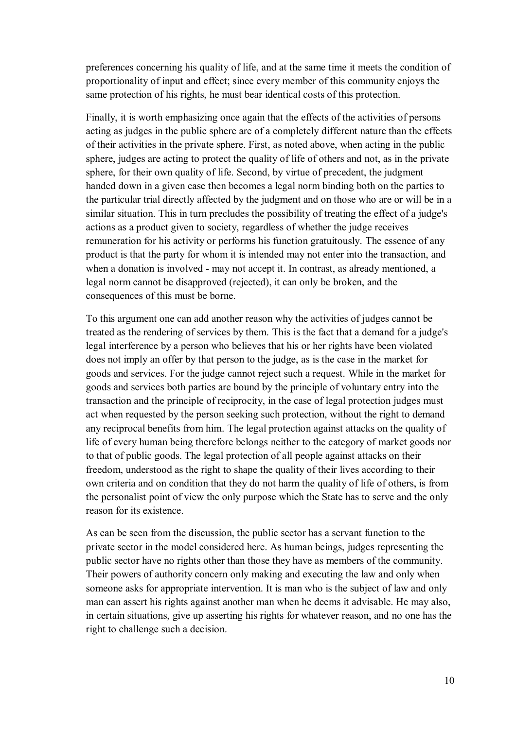preferences concerning his quality of life, and at the same time it meets the condition of proportionality of input and effect; since every member of this community enjoys the same protection of his rights, he must bear identical costs of this protection.

Finally, it is worth emphasizing once again that the effects of the activities of persons acting as judges in the public sphere are of a completely different nature than the effects of their activities in the private sphere. First, as noted above, when acting in the public sphere, judges are acting to protect the quality of life of others and not, as in the private sphere, for their own quality of life. Second, by virtue of precedent, the judgment handed down in a given case then becomes a legal norm binding both on the parties to the particular trial directly affected by the judgment and on those who are or will be in a similar situation. This in turn precludes the possibility of treating the effect of a judge's actions as a product given to society, regardless of whether the judge receives remuneration for his activity or performs his function gratuitously. The essence of any product is that the party for whom it is intended may not enter into the transaction, and when a donation is involved - may not accept it. In contrast, as already mentioned, a legal norm cannot be disapproved (rejected), it can only be broken, and the consequences of this must be borne.

To this argument one can add another reason why the activities of judges cannot be treated as the rendering of services by them. This is the fact that a demand for a judge's legal interference by a person who believes that his or her rights have been violated does not imply an offer by that person to the judge, as is the case in the market for goods and services. For the judge cannot reject such a request. While in the market for goods and services both parties are bound by the principle of voluntary entry into the transaction and the principle of reciprocity, in the case of legal protection judges must act when requested by the person seeking such protection, without the right to demand any reciprocal benefits from him. The legal protection against attacks on the quality of life of every human being therefore belongs neither to the category of market goods nor to that of public goods. The legal protection of all people against attacks on their freedom, understood as the right to shape the quality of their lives according to their own criteria and on condition that they do not harm the quality of life of others, is from the personalist point of view the only purpose which the State has to serve and the only reason for its existence.

As can be seen from the discussion, the public sector has a servant function to the private sector in the model considered here. As human beings, judges representing the public sector have no rights other than those they have as members of the community. Their powers of authority concern only making and executing the law and only when someone asks for appropriate intervention. It is man who is the subject of law and only man can assert his rights against another man when he deems it advisable. He may also, in certain situations, give up asserting his rights for whatever reason, and no one has the right to challenge such a decision.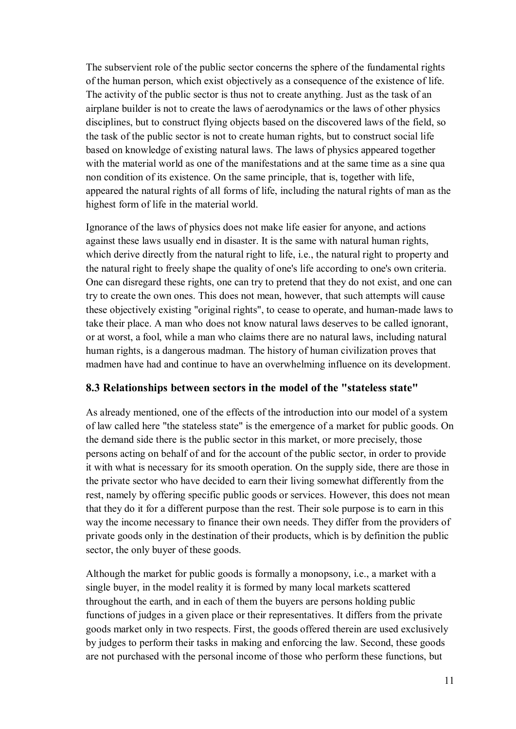The subservient role of the public sector concerns the sphere of the fundamental rights of the human person, which exist objectively as a consequence of the existence of life. The activity of the public sector is thus not to create anything. Just as the task of an airplane builder is not to create the laws of aerodynamics or the laws of other physics disciplines, but to construct flying objects based on the discovered laws of the field, so the task of the public sector is not to create human rights, but to construct social life based on knowledge of existing natural laws. The laws of physics appeared together with the material world as one of the manifestations and at the same time as a sine qua non condition of its existence. On the same principle, that is, together with life, appeared the natural rights of all forms of life, including the natural rights of man as the highest form of life in the material world.

Ignorance of the laws of physics does not make life easier for anyone, and actions against these laws usually end in disaster. It is the same with natural human rights, which derive directly from the natural right to life, *i.e.*, the natural right to property and the natural right to freely shape the quality of one's life according to one's own criteria. One can disregard these rights, one can try to pretend that they do not exist, and one can try to create the own ones. This does not mean, however, that such attempts will cause these objectively existing "original rights", to cease to operate, and human-made laws to take their place. A man who does not know natural laws deserves to be called ignorant, or at worst, a fool, while a man who claims there are no natural laws, including natural human rights, is a dangerous madman. The history of human civilization proves that madmen have had and continue to have an overwhelming influence on its development.

#### **8.3 Relationships between sectors in the model of the "stateless state"**

As already mentioned, one of the effects of the introduction into our model of a system of law called here "the stateless state" is the emergence of a market for public goods. On the demand side there is the public sector in this market, or more precisely, those persons acting on behalf of and for the account of the public sector, in order to provide it with what is necessary for its smooth operation. On the supply side, there are those in the private sector who have decided to earn their living somewhat differently from the rest, namely by offering specific public goods or services. However, this does not mean that they do it for a different purpose than the rest. Their sole purpose is to earn in this way the income necessary to finance their own needs. They differ from the providers of private goods only in the destination of their products, which is by definition the public sector, the only buyer of these goods.

Although the market for public goods is formally a monopsony, i.e., a market with a single buyer, in the model reality it is formed by many local markets scattered throughout the earth, and in each of them the buyers are persons holding public functions of judges in a given place or their representatives. It differs from the private goods market only in two respects. First, the goods offered therein are used exclusively by judges to perform their tasks in making and enforcing the law. Second, these goods are not purchased with the personal income of those who perform these functions, but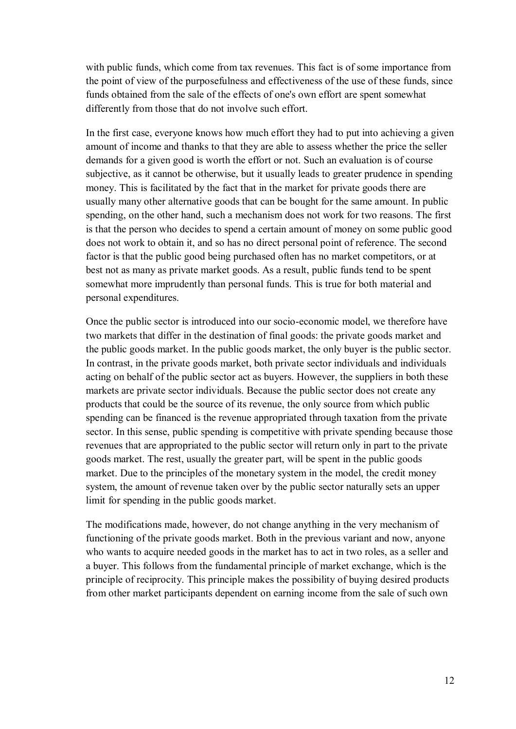with public funds, which come from tax revenues. This fact is of some importance from the point of view of the purposefulness and effectiveness of the use of these funds, since funds obtained from the sale of the effects of one's own effort are spent somewhat differently from those that do not involve such effort.

In the first case, everyone knows how much effort they had to put into achieving a given amount of income and thanks to that they are able to assess whether the price the seller demands for a given good is worth the effort or not. Such an evaluation is of course subjective, as it cannot be otherwise, but it usually leads to greater prudence in spending money. This is facilitated by the fact that in the market for private goods there are usually many other alternative goods that can be bought for the same amount. In public spending, on the other hand, such a mechanism does not work for two reasons. The first is that the person who decides to spend a certain amount of money on some public good does not work to obtain it, and so has no direct personal point of reference. The second factor is that the public good being purchased often has no market competitors, or at best not as many as private market goods. As a result, public funds tend to be spent somewhat more imprudently than personal funds. This is true for both material and personal expenditures.

Once the public sector is introduced into our socio-economic model, we therefore have two markets that differ in the destination of final goods: the private goods market and the public goods market. In the public goods market, the only buyer is the public sector. In contrast, in the private goods market, both private sector individuals and individuals acting on behalf of the public sector act as buyers. However, the suppliers in both these markets are private sector individuals. Because the public sector does not create any products that could be the source of its revenue, the only source from which public spending can be financed is the revenue appropriated through taxation from the private sector. In this sense, public spending is competitive with private spending because those revenues that are appropriated to the public sector will return only in part to the private goods market. The rest, usually the greater part, will be spent in the public goods market. Due to the principles of the monetary system in the model, the credit money system, the amount of revenue taken over by the public sector naturally sets an upper limit for spending in the public goods market.

The modifications made, however, do not change anything in the very mechanism of functioning of the private goods market. Both in the previous variant and now, anyone who wants to acquire needed goods in the market has to act in two roles, as a seller and a buyer. This follows from the fundamental principle of market exchange, which is the principle of reciprocity. This principle makes the possibility of buying desired products from other market participants dependent on earning income from the sale of such own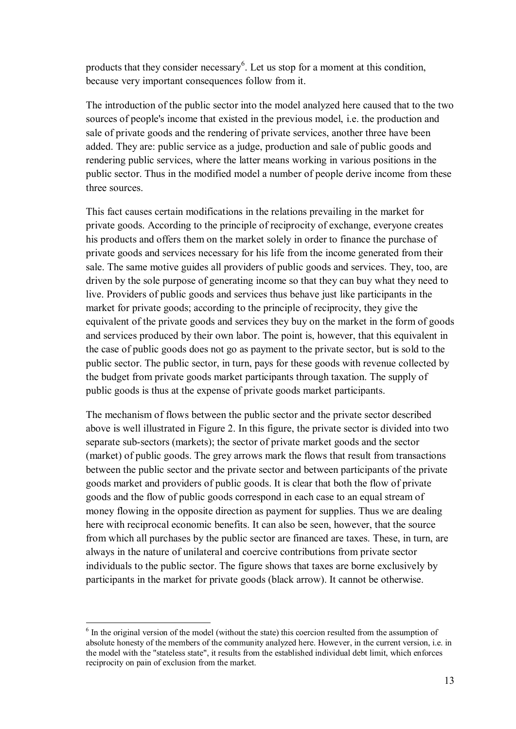products that they consider necessary<sup>6</sup>. Let us stop for a moment at this condition, because very important consequences follow from it.

The introduction of the public sector into the model analyzed here caused that to the two sources of people's income that existed in the previous model, i.e. the production and sale of private goods and the rendering of private services, another three have been added. They are: public service as a judge, production and sale of public goods and rendering public services, where the latter means working in various positions in the public sector. Thus in the modified model a number of people derive income from these three sources.

This fact causes certain modifications in the relations prevailing in the market for private goods. According to the principle of reciprocity of exchange, everyone creates his products and offers them on the market solely in order to finance the purchase of private goods and services necessary for his life from the income generated from their sale. The same motive guides all providers of public goods and services. They, too, are driven by the sole purpose of generating income so that they can buy what they need to live. Providers of public goods and services thus behave just like participants in the market for private goods; according to the principle of reciprocity, they give the equivalent of the private goods and services they buy on the market in the form of goods and services produced by their own labor. The point is, however, that this equivalent in the case of public goods does not go as payment to the private sector, but is sold to the public sector. The public sector, in turn, pays for these goods with revenue collected by the budget from private goods market participants through taxation. The supply of public goods is thus at the expense of private goods market participants.

The mechanism of flows between the public sector and the private sector described above is well illustrated in Figure 2. In this figure, the private sector is divided into two separate sub-sectors (markets); the sector of private market goods and the sector (market) of public goods. The grey arrows mark the flows that result from transactions between the public sector and the private sector and between participants of the private goods market and providers of public goods. It is clear that both the flow of private goods and the flow of public goods correspond in each case to an equal stream of money flowing in the opposite direction as payment for supplies. Thus we are dealing here with reciprocal economic benefits. It can also be seen, however, that the source from which all purchases by the public sector are financed are taxes. These, in turn, are always in the nature of unilateral and coercive contributions from private sector individuals to the public sector. The figure shows that taxes are borne exclusively by participants in the market for private goods (black arrow). It cannot be otherwise.

 $6$  In the original version of the model (without the state) this coercion resulted from the assumption of absolute honesty of the members of the community analyzed here. However, in the current version, i.e. in the model with the "stateless state", it results from the established individual debt limit, which enforces reciprocity on pain of exclusion from the market.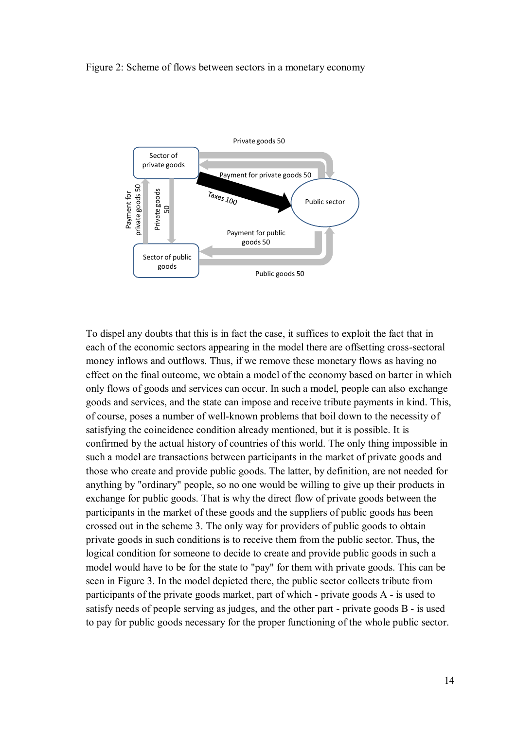#### Figure 2: Scheme of flows between sectors in a monetary economy



To dispel any doubts that this is in fact the case, it suffices to exploit the fact that in each of the economic sectors appearing in the model there are offsetting cross-sectoral money inflows and outflows. Thus, if we remove these monetary flows as having no effect on the final outcome, we obtain a model of the economy based on barter in which only flows of goods and services can occur. In such a model, people can also exchange goods and services, and the state can impose and receive tribute payments in kind. This, of course, poses a number of well-known problems that boil down to the necessity of satisfying the coincidence condition already mentioned, but it is possible. It is confirmed by the actual history of countries of this world. The only thing impossible in such a model are transactions between participants in the market of private goods and those who create and provide public goods. The latter, by definition, are not needed for anything by "ordinary" people, so no one would be willing to give up their products in exchange for public goods. That is why the direct flow of private goods between the participants in the market of these goods and the suppliers of public goods has been crossed out in the scheme 3. The only way for providers of public goods to obtain private goods in such conditions is to receive them from the public sector. Thus, the logical condition for someone to decide to create and provide public goods in such a model would have to be for the state to "pay" for them with private goods. This can be seen in Figure 3. In the model depicted there, the public sector collects tribute from participants of the private goods market, part of which - private goods A - is used to satisfy needs of people serving as judges, and the other part - private goods B - is used to pay for public goods necessary for the proper functioning of the whole public sector.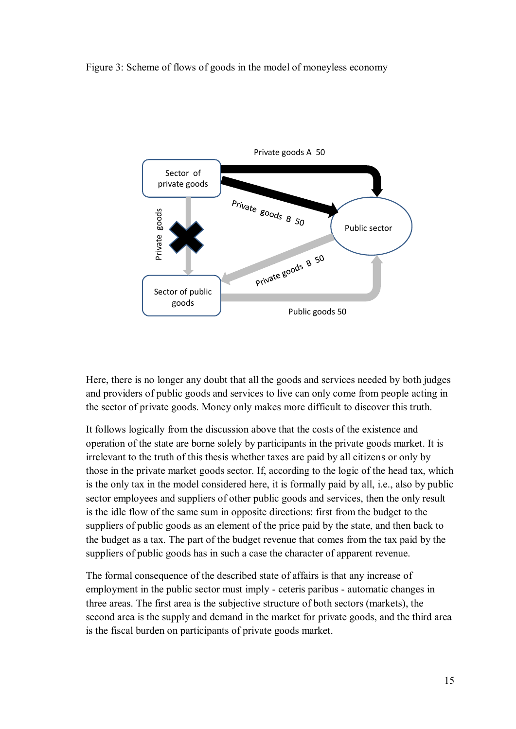Figure 3: Scheme of flows of goods in the model of moneyless economy



Here, there is no longer any doubt that all the goods and services needed by both judges and providers of public goods and services to live can only come from people acting in the sector of private goods. Money only makes more difficult to discover this truth.

It follows logically from the discussion above that the costs of the existence and operation of the state are borne solely by participants in the private goods market. It is irrelevant to the truth of this thesis whether taxes are paid by all citizens or only by those in the private market goods sector. If, according to the logic of the head tax, which is the only tax in the model considered here, it is formally paid by all, i.e., also by public sector employees and suppliers of other public goods and services, then the only result is the idle flow of the same sum in opposite directions: first from the budget to the suppliers of public goods as an element of the price paid by the state, and then back to the budget as a tax. The part of the budget revenue that comes from the tax paid by the suppliers of public goods has in such a case the character of apparent revenue.

The formal consequence of the described state of affairs is that any increase of employment in the public sector must imply - ceteris paribus - automatic changes in three areas. The first area is the subjective structure of both sectors (markets), the second area is the supply and demand in the market for private goods, and the third area is the fiscal burden on participants of private goods market.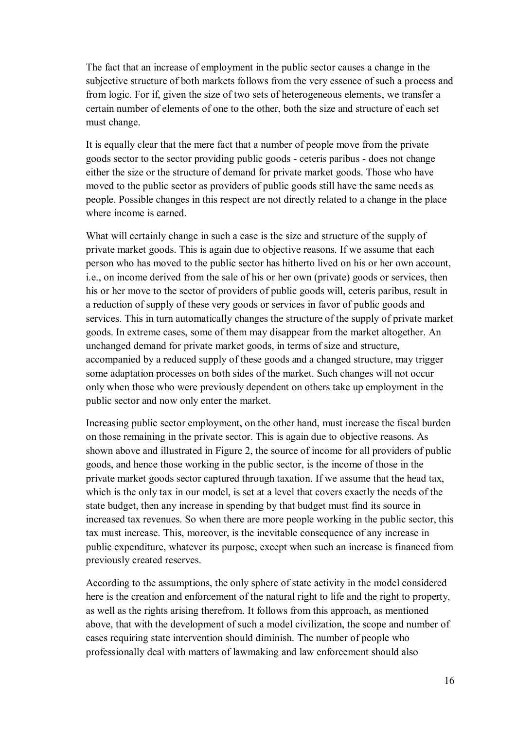The fact that an increase of employment in the public sector causes a change in the subjective structure of both markets follows from the very essence of such a process and from logic. For if, given the size of two sets of heterogeneous elements, we transfer a certain number of elements of one to the other, both the size and structure of each set must change.

It is equally clear that the mere fact that a number of people move from the private goods sector to the sector providing public goods - ceteris paribus - does not change either the size or the structure of demand for private market goods. Those who have moved to the public sector as providers of public goods still have the same needs as people. Possible changes in this respect are not directly related to a change in the place where income is earned.

What will certainly change in such a case is the size and structure of the supply of private market goods. This is again due to objective reasons. If we assume that each person who has moved to the public sector has hitherto lived on his or her own account, i.e., on income derived from the sale of his or her own (private) goods or services, then his or her move to the sector of providers of public goods will, ceteris paribus, result in a reduction of supply of these very goods or services in favor of public goods and services. This in turn automatically changes the structure of the supply of private market goods. In extreme cases, some of them may disappear from the market altogether. An unchanged demand for private market goods, in terms of size and structure, accompanied by a reduced supply of these goods and a changed structure, may trigger some adaptation processes on both sides of the market. Such changes will not occur only when those who were previously dependent on others take up employment in the public sector and now only enter the market.

Increasing public sector employment, on the other hand, must increase the fiscal burden on those remaining in the private sector. This is again due to objective reasons. As shown above and illustrated in Figure 2, the source of income for all providers of public goods, and hence those working in the public sector, is the income of those in the private market goods sector captured through taxation. If we assume that the head tax, which is the only tax in our model, is set at a level that covers exactly the needs of the state budget, then any increase in spending by that budget must find its source in increased tax revenues. So when there are more people working in the public sector, this tax must increase. This, moreover, is the inevitable consequence of any increase in public expenditure, whatever its purpose, except when such an increase is financed from previously created reserves.

According to the assumptions, the only sphere of state activity in the model considered here is the creation and enforcement of the natural right to life and the right to property, as well as the rights arising therefrom. It follows from this approach, as mentioned above, that with the development of such a model civilization, the scope and number of cases requiring state intervention should diminish. The number of people who professionally deal with matters of lawmaking and law enforcement should also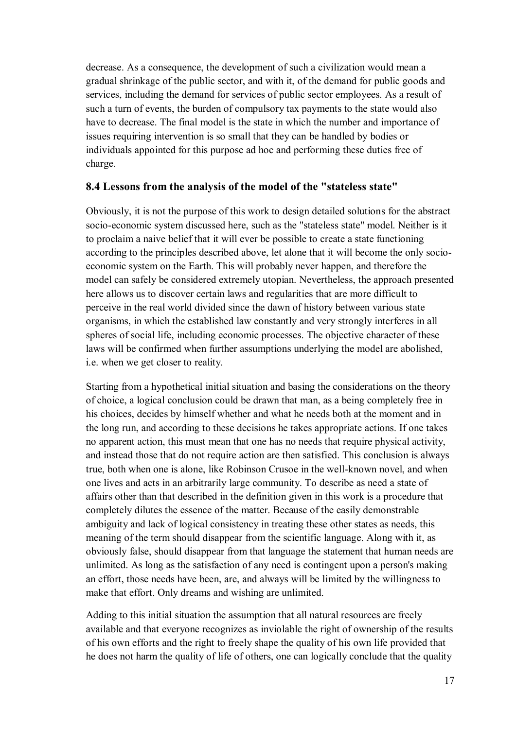decrease. As a consequence, the development of such a civilization would mean a gradual shrinkage of the public sector, and with it, of the demand for public goods and services, including the demand for services of public sector employees. As a result of such a turn of events, the burden of compulsory tax payments to the state would also have to decrease. The final model is the state in which the number and importance of issues requiring intervention is so small that they can be handled by bodies or individuals appointed for this purpose ad hoc and performing these duties free of charge.

### **8.4 Lessons from the analysis of the model of the "stateless state"**

Obviously, it is not the purpose of this work to design detailed solutions for the abstract socio-economic system discussed here, such as the "stateless state" model. Neither is it to proclaim a naive belief that it will ever be possible to create a state functioning according to the principles described above, let alone that it will become the only socioeconomic system on the Earth. This will probably never happen, and therefore the model can safely be considered extremely utopian. Nevertheless, the approach presented here allows us to discover certain laws and regularities that are more difficult to perceive in the real world divided since the dawn of history between various state organisms, in which the established law constantly and very strongly interferes in all spheres of social life, including economic processes. The objective character of these laws will be confirmed when further assumptions underlying the model are abolished, i.e. when we get closer to reality.

Starting from a hypothetical initial situation and basing the considerations on the theory of choice, a logical conclusion could be drawn that man, as a being completely free in his choices, decides by himself whether and what he needs both at the moment and in the long run, and according to these decisions he takes appropriate actions. If one takes no apparent action, this must mean that one has no needs that require physical activity, and instead those that do not require action are then satisfied. This conclusion is always true, both when one is alone, like Robinson Crusoe in the well-known novel, and when one lives and acts in an arbitrarily large community. To describe as need a state of affairs other than that described in the definition given in this work is a procedure that completely dilutes the essence of the matter. Because of the easily demonstrable ambiguity and lack of logical consistency in treating these other states as needs, this meaning of the term should disappear from the scientific language. Along with it, as obviously false, should disappear from that language the statement that human needs are unlimited. As long as the satisfaction of any need is contingent upon a person's making an effort, those needs have been, are, and always will be limited by the willingness to make that effort. Only dreams and wishing are unlimited.

Adding to this initial situation the assumption that all natural resources are freely available and that everyone recognizes as inviolable the right of ownership of the results of his own efforts and the right to freely shape the quality of his own life provided that he does not harm the quality of life of others, one can logically conclude that the quality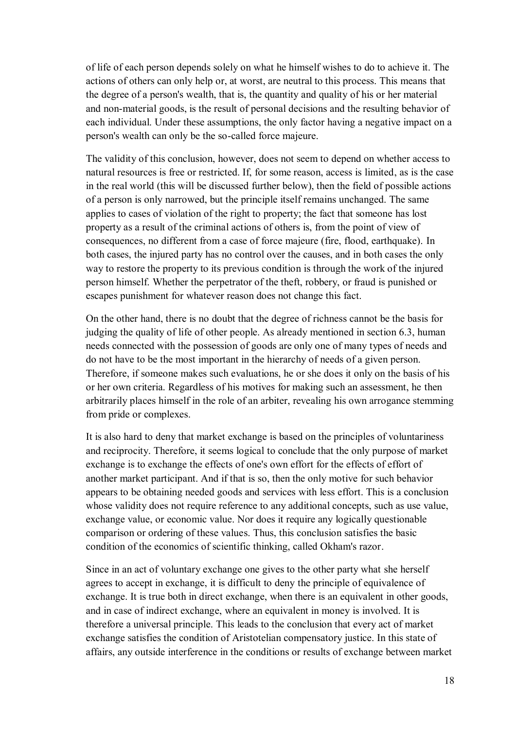of life of each person depends solely on what he himself wishes to do to achieve it. The actions of others can only help or, at worst, are neutral to this process. This means that the degree of a person's wealth, that is, the quantity and quality of his or her material and non-material goods, is the result of personal decisions and the resulting behavior of each individual. Under these assumptions, the only factor having a negative impact on a person's wealth can only be the so-called force majeure.

The validity of this conclusion, however, does not seem to depend on whether access to natural resources is free or restricted. If, for some reason, access is limited, as is the case in the real world (this will be discussed further below), then the field of possible actions of a person is only narrowed, but the principle itself remains unchanged. The same applies to cases of violation of the right to property; the fact that someone has lost property as a result of the criminal actions of others is, from the point of view of consequences, no different from a case of force majeure (fire, flood, earthquake). In both cases, the injured party has no control over the causes, and in both cases the only way to restore the property to its previous condition is through the work of the injured person himself. Whether the perpetrator of the theft, robbery, or fraud is punished or escapes punishment for whatever reason does not change this fact.

On the other hand, there is no doubt that the degree of richness cannot be the basis for judging the quality of life of other people. As already mentioned in section 6.3, human needs connected with the possession of goods are only one of many types of needs and do not have to be the most important in the hierarchy of needs of a given person. Therefore, if someone makes such evaluations, he or she does it only on the basis of his or her own criteria. Regardless of his motives for making such an assessment, he then arbitrarily places himself in the role of an arbiter, revealing his own arrogance stemming from pride or complexes.

It is also hard to deny that market exchange is based on the principles of voluntariness and reciprocity. Therefore, it seems logical to conclude that the only purpose of market exchange is to exchange the effects of one's own effort for the effects of effort of another market participant. And if that is so, then the only motive for such behavior appears to be obtaining needed goods and services with less effort. This is a conclusion whose validity does not require reference to any additional concepts, such as use value, exchange value, or economic value. Nor does it require any logically questionable comparison or ordering of these values. Thus, this conclusion satisfies the basic condition of the economics of scientific thinking, called Okham's razor.

Since in an act of voluntary exchange one gives to the other party what she herself agrees to accept in exchange, it is difficult to deny the principle of equivalence of exchange. It is true both in direct exchange, when there is an equivalent in other goods, and in case of indirect exchange, where an equivalent in money is involved. It is therefore a universal principle. This leads to the conclusion that every act of market exchange satisfies the condition of Aristotelian compensatory justice. In this state of affairs, any outside interference in the conditions or results of exchange between market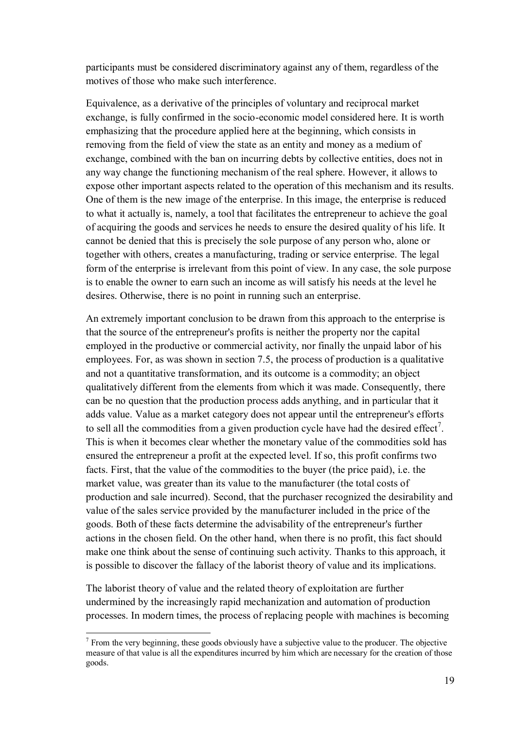participants must be considered discriminatory against any of them, regardless of the motives of those who make such interference.

Equivalence, as a derivative of the principles of voluntary and reciprocal market exchange, is fully confirmed in the socio-economic model considered here. It is worth emphasizing that the procedure applied here at the beginning, which consists in removing from the field of view the state as an entity and money as a medium of exchange, combined with the ban on incurring debts by collective entities, does not in any way change the functioning mechanism of the real sphere. However, it allows to expose other important aspects related to the operation of this mechanism and its results. One of them is the new image of the enterprise. In this image, the enterprise is reduced to what it actually is, namely, a tool that facilitates the entrepreneur to achieve the goal of acquiring the goods and services he needs to ensure the desired quality of his life. It cannot be denied that this is precisely the sole purpose of any person who, alone or together with others, creates a manufacturing, trading or service enterprise. The legal form of the enterprise is irrelevant from this point of view. In any case, the sole purpose is to enable the owner to earn such an income as will satisfy his needs at the level he desires. Otherwise, there is no point in running such an enterprise.

An extremely important conclusion to be drawn from this approach to the enterprise is that the source of the entrepreneur's profits is neither the property nor the capital employed in the productive or commercial activity, nor finally the unpaid labor of his employees. For, as was shown in section 7.5, the process of production is a qualitative and not a quantitative transformation, and its outcome is a commodity; an object qualitatively different from the elements from which it was made. Consequently, there can be no question that the production process adds anything, and in particular that it adds value. Value as a market category does not appear until the entrepreneur's efforts to sell all the commodities from a given production cycle have had the desired effect<sup>7</sup>. This is when it becomes clear whether the monetary value of the commodities sold has ensured the entrepreneur a profit at the expected level. If so, this profit confirms two facts. First, that the value of the commodities to the buyer (the price paid), i.e. the market value, was greater than its value to the manufacturer (the total costs of production and sale incurred). Second, that the purchaser recognized the desirability and value of the sales service provided by the manufacturer included in the price of the goods. Both of these facts determine the advisability of the entrepreneur's further actions in the chosen field. On the other hand, when there is no profit, this fact should make one think about the sense of continuing such activity. Thanks to this approach, it is possible to discover the fallacy of the laborist theory of value and its implications.

The laborist theory of value and the related theory of exploitation are further undermined by the increasingly rapid mechanization and automation of production processes. In modern times, the process of replacing people with machines is becoming

 $<sup>7</sup>$  From the very beginning, these goods obviously have a subjective value to the producer. The objective</sup> measure of that value is all the expenditures incurred by him which are necessary for the creation of those goods.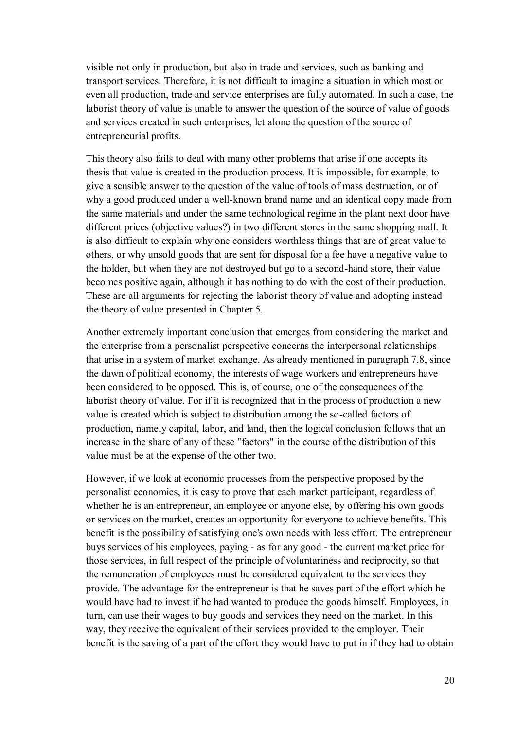visible not only in production, but also in trade and services, such as banking and transport services. Therefore, it is not difficult to imagine a situation in which most or even all production, trade and service enterprises are fully automated. In such a case, the laborist theory of value is unable to answer the question of the source of value of goods and services created in such enterprises, let alone the question of the source of entrepreneurial profits.

This theory also fails to deal with many other problems that arise if one accepts its thesis that value is created in the production process. It is impossible, for example, to give a sensible answer to the question of the value of tools of mass destruction, or of why a good produced under a well-known brand name and an identical copy made from the same materials and under the same technological regime in the plant next door have different prices (objective values?) in two different stores in the same shopping mall. It is also difficult to explain why one considers worthless things that are of great value to others, or why unsold goods that are sent for disposal for a fee have a negative value to the holder, but when they are not destroyed but go to a second-hand store, their value becomes positive again, although it has nothing to do with the cost of their production. These are all arguments for rejecting the laborist theory of value and adopting instead the theory of value presented in Chapter 5.

Another extremely important conclusion that emerges from considering the market and the enterprise from a personalist perspective concerns the interpersonal relationships that arise in a system of market exchange. As already mentioned in paragraph 7.8, since the dawn of political economy, the interests of wage workers and entrepreneurs have been considered to be opposed. This is, of course, one of the consequences of the laborist theory of value. For if it is recognized that in the process of production a new value is created which is subject to distribution among the so-called factors of production, namely capital, labor, and land, then the logical conclusion follows that an increase in the share of any of these "factors" in the course of the distribution of this value must be at the expense of the other two.

However, if we look at economic processes from the perspective proposed by the personalist economics, it is easy to prove that each market participant, regardless of whether he is an entrepreneur, an employee or anyone else, by offering his own goods or services on the market, creates an opportunity for everyone to achieve benefits. This benefit is the possibility of satisfying one's own needs with less effort. The entrepreneur buys services of his employees, paying - as for any good - the current market price for those services, in full respect of the principle of voluntariness and reciprocity, so that the remuneration of employees must be considered equivalent to the services they provide. The advantage for the entrepreneur is that he saves part of the effort which he would have had to invest if he had wanted to produce the goods himself. Employees, in turn, can use their wages to buy goods and services they need on the market. In this way, they receive the equivalent of their services provided to the employer. Their benefit is the saving of a part of the effort they would have to put in if they had to obtain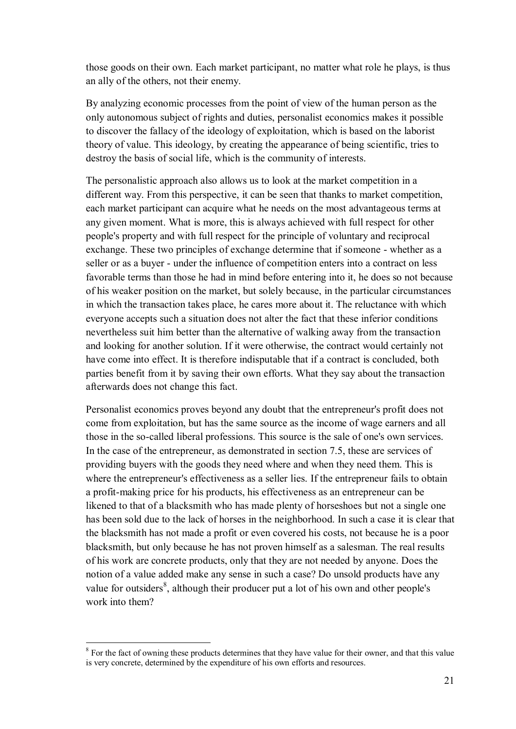those goods on their own. Each market participant, no matter what role he plays, is thus an ally of the others, not their enemy.

By analyzing economic processes from the point of view of the human person as the only autonomous subject of rights and duties, personalist economics makes it possible to discover the fallacy of the ideology of exploitation, which is based on the laborist theory of value. This ideology, by creating the appearance of being scientific, tries to destroy the basis of social life, which is the community of interests.

The personalistic approach also allows us to look at the market competition in a different way. From this perspective, it can be seen that thanks to market competition, each market participant can acquire what he needs on the most advantageous terms at any given moment. What is more, this is always achieved with full respect for other people's property and with full respect for the principle of voluntary and reciprocal exchange. These two principles of exchange determine that if someone - whether as a seller or as a buyer - under the influence of competition enters into a contract on less favorable terms than those he had in mind before entering into it, he does so not because of his weaker position on the market, but solely because, in the particular circumstances in which the transaction takes place, he cares more about it. The reluctance with which everyone accepts such a situation does not alter the fact that these inferior conditions nevertheless suit him better than the alternative of walking away from the transaction and looking for another solution. If it were otherwise, the contract would certainly not have come into effect. It is therefore indisputable that if a contract is concluded, both parties benefit from it by saving their own efforts. What they say about the transaction afterwards does not change this fact.

Personalist economics proves beyond any doubt that the entrepreneur's profit does not come from exploitation, but has the same source as the income of wage earners and all those in the so-called liberal professions. This source is the sale of one's own services. In the case of the entrepreneur, as demonstrated in section 7.5, these are services of providing buyers with the goods they need where and when they need them. This is where the entrepreneur's effectiveness as a seller lies. If the entrepreneur fails to obtain a profit-making price for his products, his effectiveness as an entrepreneur can be likened to that of a blacksmith who has made plenty of horseshoes but not a single one has been sold due to the lack of horses in the neighborhood. In such a case it is clear that the blacksmith has not made a profit or even covered his costs, not because he is a poor blacksmith, but only because he has not proven himself as a salesman. The real results of his work are concrete products, only that they are not needed by anyone. Does the notion of a value added make any sense in such a case? Do unsold products have any value for outsiders<sup>8</sup>, although their producer put a lot of his own and other people's work into them?

<sup>&</sup>lt;sup>8</sup> For the fact of owning these products determines that they have value for their owner, and that this value is very concrete, determined by the expenditure of his own efforts and resources.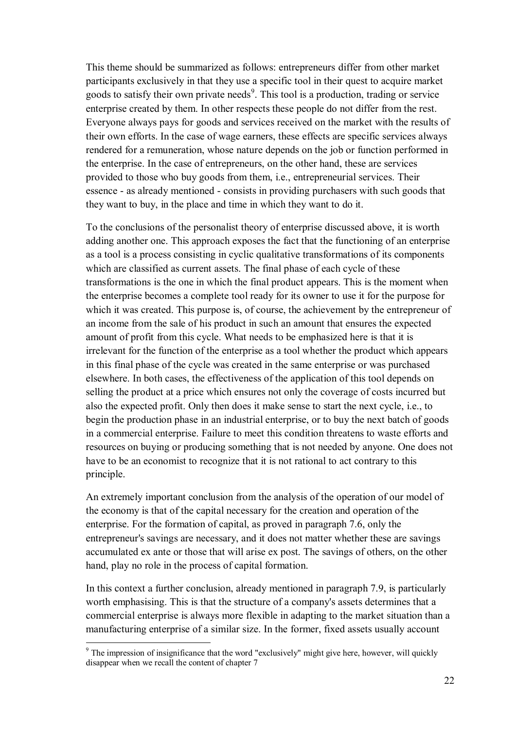This theme should be summarized as follows: entrepreneurs differ from other market participants exclusively in that they use a specific tool in their quest to acquire market goods to satisfy their own private needs<sup>9</sup>. This tool is a production, trading or service enterprise created by them. In other respects these people do not differ from the rest. Everyone always pays for goods and services received on the market with the results of their own efforts. In the case of wage earners, these effects are specific services always rendered for a remuneration, whose nature depends on the job or function performed in the enterprise. In the case of entrepreneurs, on the other hand, these are services provided to those who buy goods from them, i.e., entrepreneurial services. Their essence - as already mentioned - consists in providing purchasers with such goods that they want to buy, in the place and time in which they want to do it.

To the conclusions of the personalist theory of enterprise discussed above, it is worth adding another one. This approach exposes the fact that the functioning of an enterprise as a tool is a process consisting in cyclic qualitative transformations of its components which are classified as current assets. The final phase of each cycle of these transformations is the one in which the final product appears. This is the moment when the enterprise becomes a complete tool ready for its owner to use it for the purpose for which it was created. This purpose is, of course, the achievement by the entrepreneur of an income from the sale of his product in such an amount that ensures the expected amount of profit from this cycle. What needs to be emphasized here is that it is irrelevant for the function of the enterprise as a tool whether the product which appears in this final phase of the cycle was created in the same enterprise or was purchased elsewhere. In both cases, the effectiveness of the application of this tool depends on selling the product at a price which ensures not only the coverage of costs incurred but also the expected profit. Only then does it make sense to start the next cycle, i.e., to begin the production phase in an industrial enterprise, or to buy the next batch of goods in a commercial enterprise. Failure to meet this condition threatens to waste efforts and resources on buying or producing something that is not needed by anyone. One does not have to be an economist to recognize that it is not rational to act contrary to this principle.

An extremely important conclusion from the analysis of the operation of our model of the economy is that of the capital necessary for the creation and operation of the enterprise. For the formation of capital, as proved in paragraph 7.6, only the entrepreneur's savings are necessary, and it does not matter whether these are savings accumulated ex ante or those that will arise ex post. The savings of others, on the other hand, play no role in the process of capital formation.

In this context a further conclusion, already mentioned in paragraph 7.9, is particularly worth emphasising. This is that the structure of a company's assets determines that a commercial enterprise is always more flexible in adapting to the market situation than a manufacturing enterprise of a similar size. In the former, fixed assets usually account

 $9$  The impression of insignificance that the word "exclusively" might give here, however, will quickly disappear when we recall the content of chapter 7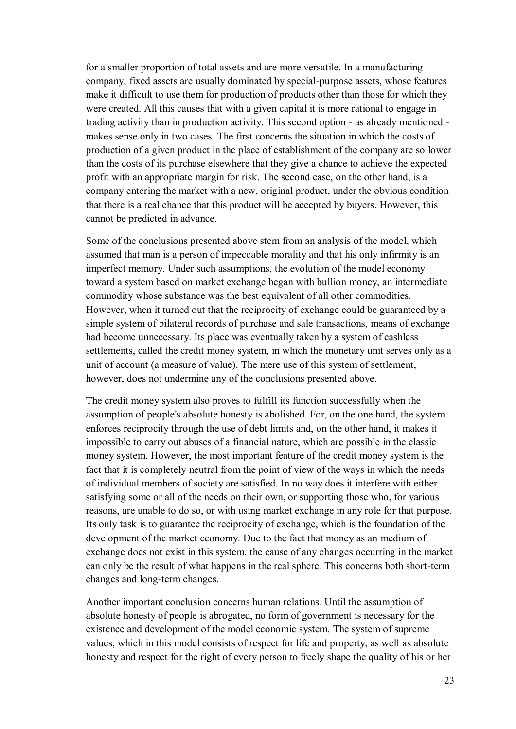for a smaller proportion of total assets and are more versatile. In a manufacturing company, fixed assets are usually dominated by special-purpose assets, whose features make it difficult to use them for production of products other than those for which they were created. All this causes that with a given capital it is more rational to engage in trading activity than in production activity. This second option - as already mentioned makes sense only in two cases. The first concerns the situation in which the costs of production of a given product in the place of establishment of the company are so lower than the costs of its purchase elsewhere that they give a chance to achieve the expected profit with an appropriate margin for risk. The second case, on the other hand, is a company entering the market with a new, original product, under the obvious condition that there is a real chance that this product will be accepted by buyers. However, this cannot be predicted in advance.

Some of the conclusions presented above stem from an analysis of the model, which assumed that man is a person of impeccable morality and that his only infirmity is an imperfect memory. Under such assumptions, the evolution of the model economy toward a system based on market exchange began with bullion money, an intermediate commodity whose substance was the best equivalent of all other commodities. However, when it turned out that the reciprocity of exchange could be guaranteed by a simple system of bilateral records of purchase and sale transactions, means of exchange had become unnecessary. Its place was eventually taken by a system of cashless settlements, called the credit money system, in which the monetary unit serves only as a unit of account (a measure of value). The mere use of this system of settlement, however, does not undermine any of the conclusions presented above.

The credit money system also proves to fulfill its function successfully when the assumption of people's absolute honesty is abolished. For, on the one hand, the system enforces reciprocity through the use of debt limits and, on the other hand, it makes it impossible to carry out abuses of a financial nature, which are possible in the classic money system. However, the most important feature of the credit money system is the fact that it is completely neutral from the point of view of the ways in which the needs of individual members of society are satisfied. In no way does it interfere with either satisfying some or all of the needs on their own, or supporting those who, for various reasons, are unable to do so, or with using market exchange in any role for that purpose. Its only task is to guarantee the reciprocity of exchange, which is the foundation of the development of the market economy. Due to the fact that money as an medium of exchange does not exist in this system, the cause of any changes occurring in the market can only be the result of what happens in the real sphere. This concerns both short-term changes and long-term changes.

Another important conclusion concerns human relations. Until the assumption of absolute honesty of people is abrogated, no form of government is necessary for the existence and development of the model economic system. The system of supreme values, which in this model consists of respect for life and property, as well as absolute honesty and respect for the right of every person to freely shape the quality of his or her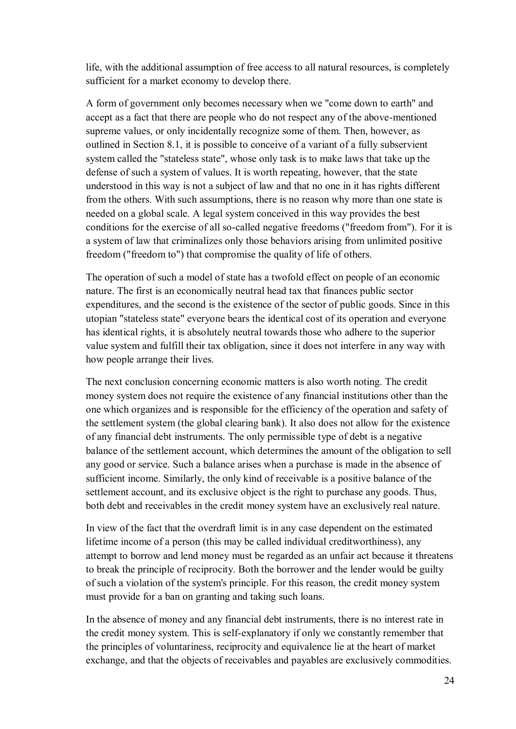life, with the additional assumption of free access to all natural resources, is completely sufficient for a market economy to develop there.

A form of government only becomes necessary when we "come down to earth" and accept as a fact that there are people who do not respect any of the above-mentioned supreme values, or only incidentally recognize some of them. Then, however, as outlined in Section 8.1, it is possible to conceive of a variant of a fully subservient system called the "stateless state", whose only task is to make laws that take up the defense of such a system of values. It is worth repeating, however, that the state understood in this way is not a subject of law and that no one in it has rights different from the others. With such assumptions, there is no reason why more than one state is needed on a global scale. A legal system conceived in this way provides the best conditions for the exercise of all so-called negative freedoms ("freedom from"). For it is a system of law that criminalizes only those behaviors arising from unlimited positive freedom ("freedom to") that compromise the quality of life of others.

The operation of such a model of state has a twofold effect on people of an economic nature. The first is an economically neutral head tax that finances public sector expenditures, and the second is the existence of the sector of public goods. Since in this utopian "stateless state" everyone bears the identical cost of its operation and everyone has identical rights, it is absolutely neutral towards those who adhere to the superior value system and fulfill their tax obligation, since it does not interfere in any way with how people arrange their lives.

The next conclusion concerning economic matters is also worth noting. The credit money system does not require the existence of any financial institutions other than the one which organizes and is responsible for the efficiency of the operation and safety of the settlement system (the global clearing bank). It also does not allow for the existence of any financial debt instruments. The only permissible type of debt is a negative balance of the settlement account, which determines the amount of the obligation to sell any good or service. Such a balance arises when a purchase is made in the absence of sufficient income. Similarly, the only kind of receivable is a positive balance of the settlement account, and its exclusive object is the right to purchase any goods. Thus, both debt and receivables in the credit money system have an exclusively real nature.

In view of the fact that the overdraft limit is in any case dependent on the estimated lifetime income of a person (this may be called individual creditworthiness), any attempt to borrow and lend money must be regarded as an unfair act because it threatens to break the principle of reciprocity. Both the borrower and the lender would be guilty of such a violation of the system's principle. For this reason, the credit money system must provide for a ban on granting and taking such loans.

In the absence of money and any financial debt instruments, there is no interest rate in the credit money system. This is self-explanatory if only we constantly remember that the principles of voluntariness, reciprocity and equivalence lie at the heart of market exchange, and that the objects of receivables and payables are exclusively commodities.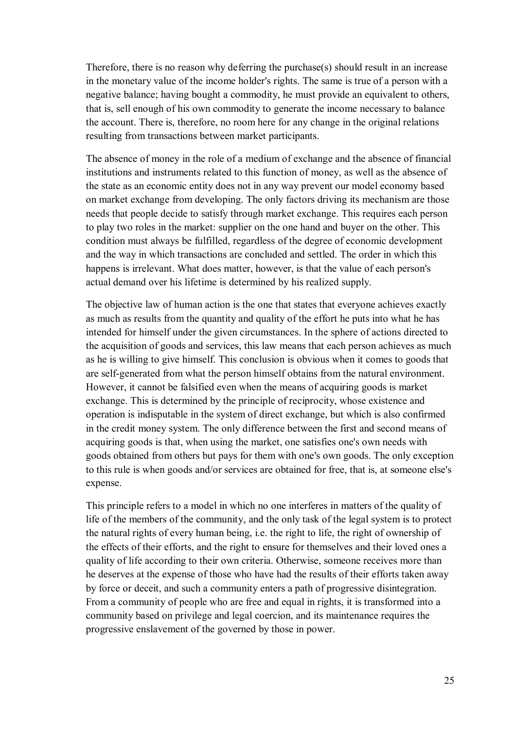Therefore, there is no reason why deferring the purchase(s) should result in an increase in the monetary value of the income holder's rights. The same is true of a person with a negative balance; having bought a commodity, he must provide an equivalent to others, that is, sell enough of his own commodity to generate the income necessary to balance the account. There is, therefore, no room here for any change in the original relations resulting from transactions between market participants.

The absence of money in the role of a medium of exchange and the absence of financial institutions and instruments related to this function of money, as well as the absence of the state as an economic entity does not in any way prevent our model economy based on market exchange from developing. The only factors driving its mechanism are those needs that people decide to satisfy through market exchange. This requires each person to play two roles in the market: supplier on the one hand and buyer on the other. This condition must always be fulfilled, regardless of the degree of economic development and the way in which transactions are concluded and settled. The order in which this happens is irrelevant. What does matter, however, is that the value of each person's actual demand over his lifetime is determined by his realized supply.

The objective law of human action is the one that states that everyone achieves exactly as much as results from the quantity and quality of the effort he puts into what he has intended for himself under the given circumstances. In the sphere of actions directed to the acquisition of goods and services, this law means that each person achieves as much as he is willing to give himself. This conclusion is obvious when it comes to goods that are self-generated from what the person himself obtains from the natural environment. However, it cannot be falsified even when the means of acquiring goods is market exchange. This is determined by the principle of reciprocity, whose existence and operation is indisputable in the system of direct exchange, but which is also confirmed in the credit money system. The only difference between the first and second means of acquiring goods is that, when using the market, one satisfies one's own needs with goods obtained from others but pays for them with one's own goods. The only exception to this rule is when goods and/or services are obtained for free, that is, at someone else's expense.

This principle refers to a model in which no one interferes in matters of the quality of life of the members of the community, and the only task of the legal system is to protect the natural rights of every human being, i.e. the right to life, the right of ownership of the effects of their efforts, and the right to ensure for themselves and their loved ones a quality of life according to their own criteria. Otherwise, someone receives more than he deserves at the expense of those who have had the results of their efforts taken away by force or deceit, and such a community enters a path of progressive disintegration. From a community of people who are free and equal in rights, it is transformed into a community based on privilege and legal coercion, and its maintenance requires the progressive enslavement of the governed by those in power.